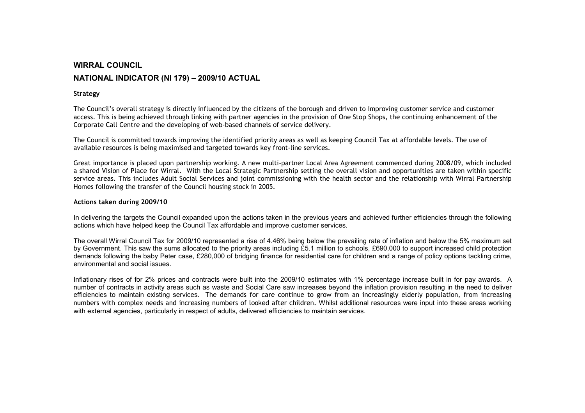## WIRRAL COUNCIL NATIONAL INDICATOR (NI 179) – 2009/10 ACTUAL

## Strategy

The Council's overall strategy is directly influenced by the citizens of the borough and driven to improving customer service and customer access. This is being achieved through linking with partner agencies in the provision of One Stop Shops, the continuing enhancement of the Corporate Call Centre and the developing of web-based channels of service delivery.

The Council is committed towards improving the identified priority areas as well as keeping Council Tax at affordable levels. The use of available resources is being maximised and targeted towards key front-line services.

Great importance is placed upon partnership working. A new multi-partner Local Area Agreement commenced during 2008/09, which included a shared Vision of Place for Wirral. With the Local Strategic Partnership setting the overall vision and opportunities are taken within specific service areas. This includes Adult Social Services and joint commissioning with the health sector and the relationship with Wirral Partnership Homes following the transfer of the Council housing stock in 2005.

## Actions taken during 2009/10

In delivering the targets the Council expanded upon the actions taken in the previous years and achieved further efficiencies through the following actions which have helped keep the Council Tax affordable and improve customer services.

The overall Wirral Council Tax for 2009/10 represented a rise of 4.46% being below the prevailing rate of inflation and below the 5% maximum set by Government. This saw the sums allocated to the priority areas including £5.1 million to schools, £690,000 to support increased child protection demands following the baby Peter case, £280,000 of bridging finance for residential care for children and a range of policy options tackling crime, environmental and social issues.

Inflationary rises of for 2% prices and contracts were built into the 2009/10 estimates with 1% percentage increase built in for pay awards. A number of contracts in activity areas such as waste and Social Care saw increases beyond the inflation provision resulting in the need to deliver efficiencies to maintain existing services. The demands for care continue to grow from an increasingly elderly population, from increasing numbers with complex needs and increasing numbers of looked after children. Whilst additional resources were input into these areas working with external agencies, particularly in respect of adults, delivered efficiencies to maintain services.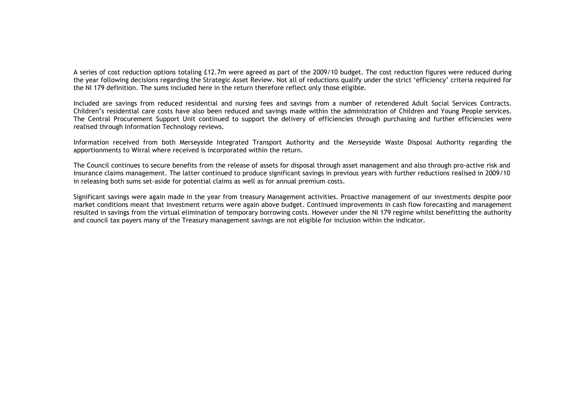A series of cost reduction options totaling £12.7m were agreed as part of the 2009/10 budget. The cost reduction figures were reduced during the year following decisions regarding the Strategic Asset Review. Not all of reductions qualify under the strict 'efficiency' criteria required for the NI 179 definition. The sums included here in the return therefore reflect only those eligible.

Included are savings from reduced residential and nursing fees and savings from a number of retendered Adult Social Services Contracts. Children's residential care costs have also been reduced and savings made within the administration of Children and Young People services. The Central Procurement Support Unit continued to support the delivery of efficiencies through purchasing and further efficiencies were realised through Information Technology reviews.

Information received from both Merseyside Integrated Transport Authority and the Merseyside Waste Disposal Authority regarding the apportionments to Wirral where received is incorporated within the return.

The Council continues to secure benefits from the release of assets for disposal through asset management and also through pro-active risk and insurance claims management. The latter continued to produce significant savings in previous years with further reductions realised in 2009/10 in releasing both sums set-aside for potential claims as well as for annual premium costs.

Significant savings were again made in the year from treasury Management activities. Proactive management of our investments despite poor market conditions meant that investment returns were again above budget. Continued improvements in cash flow forecasting and management resulted in savings from the virtual elimination of temporary borrowing costs. However under the NI 179 regime whilst benefitting the authority and council tax payers many of the Treasury management savings are not eligible for inclusion within the indicator.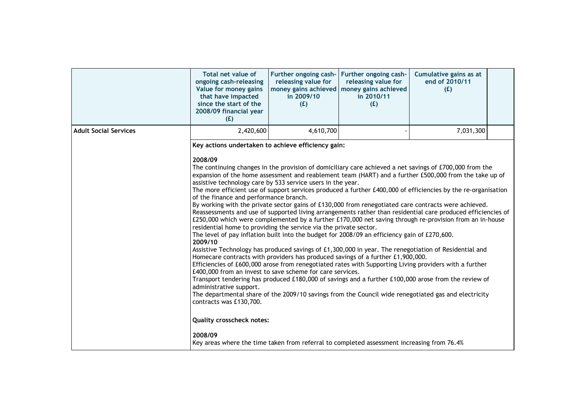|                              | Total net value of<br>ongoing cash-releasing<br>Value for money gains<br>that have impacted<br>since the start of the<br>2008/09 financial year<br>(E)                                                                                                                                                                                                                                                                                                                                                                                                                                                                                                                                                                                                                                                                                                                                                                                                                                                                                                                                                                                                                                                                                                                                                                                                                                                                                                                                                                                                                       | Further ongoing cash- Further ongoing cash-<br>releasing value for<br>in 2009/10<br>(E) | releasing value for<br>money gains achieved   money gains achieved<br>in 2010/11<br>(E) | Cumulative gains as at<br>end of 2010/11<br>(E) |  |
|------------------------------|------------------------------------------------------------------------------------------------------------------------------------------------------------------------------------------------------------------------------------------------------------------------------------------------------------------------------------------------------------------------------------------------------------------------------------------------------------------------------------------------------------------------------------------------------------------------------------------------------------------------------------------------------------------------------------------------------------------------------------------------------------------------------------------------------------------------------------------------------------------------------------------------------------------------------------------------------------------------------------------------------------------------------------------------------------------------------------------------------------------------------------------------------------------------------------------------------------------------------------------------------------------------------------------------------------------------------------------------------------------------------------------------------------------------------------------------------------------------------------------------------------------------------------------------------------------------------|-----------------------------------------------------------------------------------------|-----------------------------------------------------------------------------------------|-------------------------------------------------|--|
| <b>Adult Social Services</b> | 2,420,600                                                                                                                                                                                                                                                                                                                                                                                                                                                                                                                                                                                                                                                                                                                                                                                                                                                                                                                                                                                                                                                                                                                                                                                                                                                                                                                                                                                                                                                                                                                                                                    | 4,610,700                                                                               |                                                                                         | 7,031,300                                       |  |
|                              | Key actions undertaken to achieve efficiency gain:<br>2008/09                                                                                                                                                                                                                                                                                                                                                                                                                                                                                                                                                                                                                                                                                                                                                                                                                                                                                                                                                                                                                                                                                                                                                                                                                                                                                                                                                                                                                                                                                                                |                                                                                         |                                                                                         |                                                 |  |
|                              | The continuing changes in the provision of domiciliary care achieved a net savings of £700,000 from the<br>expansion of the home assessment and reablement team (HART) and a further £500,000 from the take up of<br>assistive technology care by 533 service users in the year.<br>The more efficient use of support services produced a further £400,000 of efficiencies by the re-organisation<br>of the finance and performance branch.<br>By working with the private sector gains of £130,000 from renegotiated care contracts were achieved.<br>Reassessments and use of supported living arrangements rather than residential care produced efficiencies of<br>£250,000 which were complemented by a further £170,000 net saving through re-provision from an in-house<br>residential home to providing the service via the private sector.<br>The level of pay inflation built into the budget for 2008/09 an efficiency gain of £270,600.<br>2009/10<br>Assistive Technology has produced savings of £1,300,000 in year. The renegotiation of Residential and<br>Homecare contracts with providers has produced savings of a further £1,900,000.<br>Efficiencies of £600,000 arose from renegotiated rates with Supporting Living providers with a further<br>£400,000 from an invest to save scheme for care services.<br>Transport tendering has produced £180,000 of savings and a further £100,000 arose from the review of<br>administrative support.<br>The departmental share of the 2009/10 savings from the Council wide renegotiated gas and electricity |                                                                                         |                                                                                         |                                                 |  |
|                              | contracts was £130,700.<br><b>Quality crosscheck notes:</b><br>2008/09<br>Key areas where the time taken from referral to completed assessment increasing from 76.4%                                                                                                                                                                                                                                                                                                                                                                                                                                                                                                                                                                                                                                                                                                                                                                                                                                                                                                                                                                                                                                                                                                                                                                                                                                                                                                                                                                                                         |                                                                                         |                                                                                         |                                                 |  |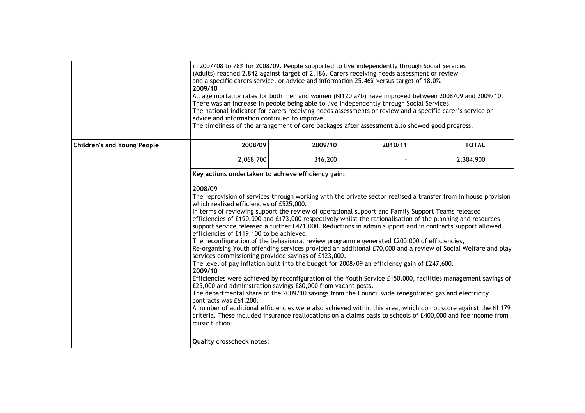|                                    | in 2007/08 to 78% for 2008/09. People supported to live independently through Social Services<br>(Adults) reached 2,842 against target of 2,186. Carers receiving needs assessment or review<br>and a specific carers service, or advice and information 25.46% versus target of 18.0%.<br>2009/10<br>All age mortality rates for both men and women (NI120 a/b) have improved between 2008/09 and 2009/10.<br>There was an increase in people being able to live independently through Social Services.<br>The national indicator for carers receiving needs assessments or review and a specific carer's service or<br>advice and information continued to improve.<br>The timeliness of the arrangement of care packages after assessment also showed good progress.                                                                                                                                                                                                                                                                                                                                                                                                                                                                                                                                                                                                                                                                                                                                                                                                                                   |         |  |           |  |  |
|------------------------------------|-----------------------------------------------------------------------------------------------------------------------------------------------------------------------------------------------------------------------------------------------------------------------------------------------------------------------------------------------------------------------------------------------------------------------------------------------------------------------------------------------------------------------------------------------------------------------------------------------------------------------------------------------------------------------------------------------------------------------------------------------------------------------------------------------------------------------------------------------------------------------------------------------------------------------------------------------------------------------------------------------------------------------------------------------------------------------------------------------------------------------------------------------------------------------------------------------------------------------------------------------------------------------------------------------------------------------------------------------------------------------------------------------------------------------------------------------------------------------------------------------------------------------------------------------------------------------------------------------------------|---------|--|-----------|--|--|
| <b>Children's and Young People</b> | 2008/09<br>2009/10<br>2010/11<br><b>TOTAL</b>                                                                                                                                                                                                                                                                                                                                                                                                                                                                                                                                                                                                                                                                                                                                                                                                                                                                                                                                                                                                                                                                                                                                                                                                                                                                                                                                                                                                                                                                                                                                                             |         |  |           |  |  |
|                                    | 2,068,700                                                                                                                                                                                                                                                                                                                                                                                                                                                                                                                                                                                                                                                                                                                                                                                                                                                                                                                                                                                                                                                                                                                                                                                                                                                                                                                                                                                                                                                                                                                                                                                                 | 316,200 |  | 2,384,900 |  |  |
|                                    | Key actions undertaken to achieve efficiency gain:<br>2008/09<br>The reprovision of services through working with the private sector realised a transfer from in house provision<br>which realised efficiencies of £525,000.<br>In terms of reviewing support the review of operational support and Family Support Teams released<br>efficiencies of £190,000 and £173,000 respectively whilst the rationalisation of the planning and resources<br>support service released a further £421,000. Reductions in admin support and in contracts support allowed<br>efficiencies of £119,100 to be achieved.<br>The reconfiguration of the behavioural review programme generated £200,000 of efficiencies,<br>Re-organising Youth offending services provided an additional £70,000 and a review of Social Welfare and play<br>services commissioning provided savings of £123,000.<br>The level of pay inflation built into the budget for 2008/09 an efficiency gain of £247,600.<br>2009/10<br>Efficiencies were achieved by reconfiguration of the Youth Service £150,000, facilities management savings of<br>£25,000 and administration savings £80,000 from vacant posts.<br>The departmental share of the 2009/10 savings from the Council wide renegotiated gas and electricity<br>contracts was £61,200.<br>A number of additional efficiencies were also achieved within this area, which do not score against the NI 179<br>criteria. These included insurance reallocations on a claims basis to schools of £400,000 and fee income from<br>music tuition.<br><b>Quality crosscheck notes:</b> |         |  |           |  |  |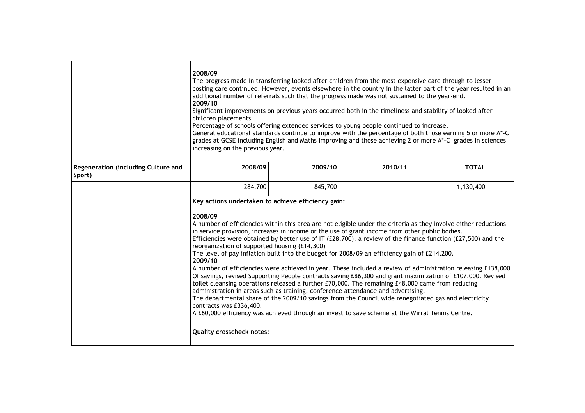|                                               | 2008/09<br>The progress made in transferring looked after children from the most expensive care through to lesser<br>costing care continued. However, events elsewhere in the country in the latter part of the year resulted in an<br>additional number of referrals such that the progress made was not sustained to the year-end.<br>2009/10<br>Significant improvements on previous years occurred both in the timeliness and stability of looked after<br>children placements.<br>Percentage of schools offering extended services to young people continued to increase.<br>General educational standards continue to improve with the percentage of both those earning 5 or more A*-C<br>grades at GCSE including English and Maths improving and those achieving 2 or more A*-C grades in sciences<br>increasing on the previous year.                                                                                                                                                                                                                                                                                                                                                           |         |         |              |  |
|-----------------------------------------------|----------------------------------------------------------------------------------------------------------------------------------------------------------------------------------------------------------------------------------------------------------------------------------------------------------------------------------------------------------------------------------------------------------------------------------------------------------------------------------------------------------------------------------------------------------------------------------------------------------------------------------------------------------------------------------------------------------------------------------------------------------------------------------------------------------------------------------------------------------------------------------------------------------------------------------------------------------------------------------------------------------------------------------------------------------------------------------------------------------------------------------------------------------------------------------------------------------|---------|---------|--------------|--|
| Regeneration (including Culture and<br>Sport) | 2008/09                                                                                                                                                                                                                                                                                                                                                                                                                                                                                                                                                                                                                                                                                                                                                                                                                                                                                                                                                                                                                                                                                                                                                                                                  | 2009/10 | 2010/11 | <b>TOTAL</b> |  |
|                                               | 284,700                                                                                                                                                                                                                                                                                                                                                                                                                                                                                                                                                                                                                                                                                                                                                                                                                                                                                                                                                                                                                                                                                                                                                                                                  | 845,700 |         | 1,130,400    |  |
|                                               | Key actions undertaken to achieve efficiency gain:                                                                                                                                                                                                                                                                                                                                                                                                                                                                                                                                                                                                                                                                                                                                                                                                                                                                                                                                                                                                                                                                                                                                                       |         |         |              |  |
|                                               | 2008/09<br>A number of efficiencies within this area are not eligible under the criteria as they involve either reductions<br>in service provision, increases in income or the use of grant income from other public bodies.<br>Efficiencies were obtained by better use of IT (£28,700), a review of the finance function (£27,500) and the<br>reorganization of supported housing (£14,300)<br>The level of pay inflation built into the budget for 2008/09 an efficiency gain of £214,200.<br>2009/10<br>A number of efficiencies were achieved in year. These included a review of administration releasing £138,000<br>Of savings, revised Supporting People contracts saving £86,300 and grant maximization of £107,000. Revised<br>toilet cleansing operations released a further £70,000. The remaining £48,000 came from reducing<br>administration in areas such as training, conference attendance and advertising.<br>The departmental share of the 2009/10 savings from the Council wide renegotiated gas and electricity<br>contracts was £336,400.<br>A £60,000 efficiency was achieved through an invest to save scheme at the Wirral Tennis Centre.<br><b>Quality crosscheck notes:</b> |         |         |              |  |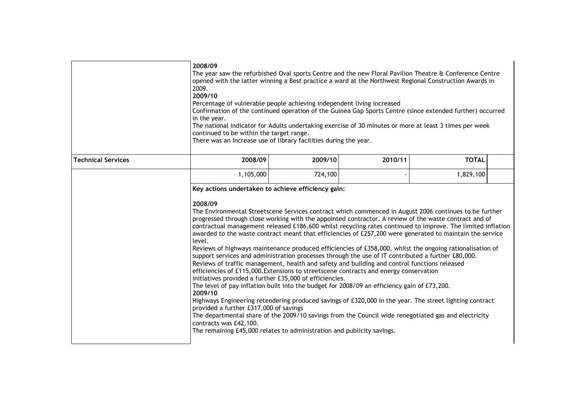|                           | 2008/09<br>2009.<br>2009/10<br>in the year.                                                                                                                                                                                                                                                                                                                                                                                                                                                                                                                                                                                                                                                                                                                                                                                                                                                                                                                                                                                                                                                                                                                                                                                                                                                                                                                                                                        | The year saw the refurbished Oval sports Centre and the new Floral Pavilion Theatre & Conference Centre<br>opened with the latter winning a Best practice a ward at the Northwest Regional Construction Awards in<br>Percentage of vulnerable people achieving independent living increased<br>Confirmation of the continued operation of the Guinea Gap Sports Centre (since extended further) occurred<br>The national indicator for Adults undertaking exercise of 30 minutes or more at least 3 times per week<br>continued to be within the target range.<br>There was an Increase use of library facilities during the year. |  |           |  |  |  |
|---------------------------|--------------------------------------------------------------------------------------------------------------------------------------------------------------------------------------------------------------------------------------------------------------------------------------------------------------------------------------------------------------------------------------------------------------------------------------------------------------------------------------------------------------------------------------------------------------------------------------------------------------------------------------------------------------------------------------------------------------------------------------------------------------------------------------------------------------------------------------------------------------------------------------------------------------------------------------------------------------------------------------------------------------------------------------------------------------------------------------------------------------------------------------------------------------------------------------------------------------------------------------------------------------------------------------------------------------------------------------------------------------------------------------------------------------------|------------------------------------------------------------------------------------------------------------------------------------------------------------------------------------------------------------------------------------------------------------------------------------------------------------------------------------------------------------------------------------------------------------------------------------------------------------------------------------------------------------------------------------------------------------------------------------------------------------------------------------|--|-----------|--|--|--|
| <b>Technical Services</b> | 2009/10<br>2008/09<br>2010/11<br><b>TOTAL</b>                                                                                                                                                                                                                                                                                                                                                                                                                                                                                                                                                                                                                                                                                                                                                                                                                                                                                                                                                                                                                                                                                                                                                                                                                                                                                                                                                                      |                                                                                                                                                                                                                                                                                                                                                                                                                                                                                                                                                                                                                                    |  |           |  |  |  |
|                           | 1,105,000                                                                                                                                                                                                                                                                                                                                                                                                                                                                                                                                                                                                                                                                                                                                                                                                                                                                                                                                                                                                                                                                                                                                                                                                                                                                                                                                                                                                          | 724,100                                                                                                                                                                                                                                                                                                                                                                                                                                                                                                                                                                                                                            |  | 1,829,100 |  |  |  |
|                           | 2008/09<br>The Environmental Streetscene Services contract which commenced in August 2006 continues to be further<br>progressed through close working with the appointed contractor. A review of the waste contract and of<br>contractual management released £186,600 whilst recycling rates continued to improve. The limited inflation<br>awarded to the waste contract meant that efficiencies of £257,200 were generated to maintain the service<br>level.<br>Reviews of highways maintenance produced efficiencies of £358,000, whilst the ongoing rationalisation of<br>support services and administration processes through the use of IT contributed a further £80,000.<br>Reviews of traffic management, health and safety and building and control functions released<br>efficiencies of £115,000. Extensions to streetscene contracts and energy conservation<br>initiatives provided a further £35,000 of efficiencies.<br>The level of pay inflation built into the budget for $2008/09$ an efficiency gain of £73,200.<br>2009/10<br>Highways Engineering retendering produced savings of £320,000 in the year. The street lighting contract<br>provided a further £317,000 of savings<br>The departmental share of the 2009/10 savings from the Council wide renegotiated gas and electricity<br>contracts was £42,100.<br>The remaining £45,000 relates to administration and publicity savings. |                                                                                                                                                                                                                                                                                                                                                                                                                                                                                                                                                                                                                                    |  |           |  |  |  |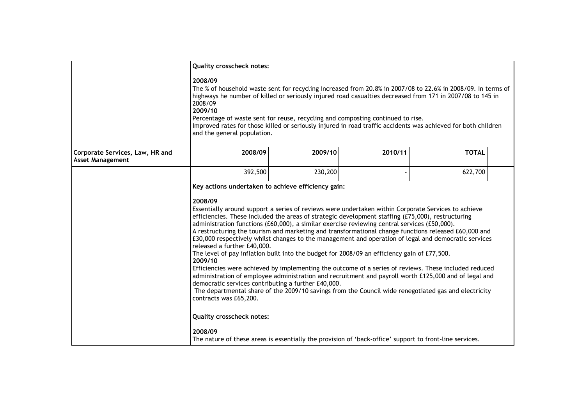|                                                            | <b>Quality crosscheck notes:</b>                                                                                                                                                                                                                                                                                                                                                                                                                                                                                                                                                                                                                                                                                                                                                                                                                                                                                                                                                                                                                                                                                                                                                             |         |         |              |  |  |
|------------------------------------------------------------|----------------------------------------------------------------------------------------------------------------------------------------------------------------------------------------------------------------------------------------------------------------------------------------------------------------------------------------------------------------------------------------------------------------------------------------------------------------------------------------------------------------------------------------------------------------------------------------------------------------------------------------------------------------------------------------------------------------------------------------------------------------------------------------------------------------------------------------------------------------------------------------------------------------------------------------------------------------------------------------------------------------------------------------------------------------------------------------------------------------------------------------------------------------------------------------------|---------|---------|--------------|--|--|
|                                                            | 2008/09<br>The % of household waste sent for recycling increased from 20.8% in 2007/08 to 22.6% in 2008/09. In terms of<br>highways he number of killed or seriously injured road casualties decreased from 171 in 2007/08 to 145 in<br>2008/09<br>2009/10<br>Percentage of waste sent for reuse, recycling and composting continued to rise.<br>Improved rates for those killed or seriously injured in road traffic accidents was achieved for both children<br>and the general population.                                                                                                                                                                                                                                                                                                                                                                                                                                                                                                                                                                                                                                                                                                |         |         |              |  |  |
| Corporate Services, Law, HR and<br><b>Asset Management</b> | 2008/09                                                                                                                                                                                                                                                                                                                                                                                                                                                                                                                                                                                                                                                                                                                                                                                                                                                                                                                                                                                                                                                                                                                                                                                      | 2009/10 | 2010/11 | <b>TOTAL</b> |  |  |
|                                                            | 392,500                                                                                                                                                                                                                                                                                                                                                                                                                                                                                                                                                                                                                                                                                                                                                                                                                                                                                                                                                                                                                                                                                                                                                                                      | 230,200 |         | 622,700      |  |  |
|                                                            | Key actions undertaken to achieve efficiency gain:<br>2008/09<br>Essentially around support a series of reviews were undertaken within Corporate Services to achieve<br>efficiencies. These included the areas of strategic development staffing (£75,000), restructuring<br>administration functions (£60,000), a similar exercise reviewing central services (£50,000).<br>A restructuring the tourism and marketing and transformational change functions released £60,000 and<br>£30,000 respectively whilst changes to the management and operation of legal and democratic services<br>released a further £40,000.<br>The level of pay inflation built into the budget for 2008/09 an efficiency gain of £77,500.<br>2009/10<br>Efficiencies were achieved by implementing the outcome of a series of reviews. These included reduced<br>administration of employee administration and recruitment and payroll worth £125,000 and of legal and<br>democratic services contributing a further £40,000.<br>The departmental share of the 2009/10 savings from the Council wide renegotiated gas and electricity<br>contracts was £65,200.<br><b>Quality crosscheck notes:</b><br>2008/09 |         |         |              |  |  |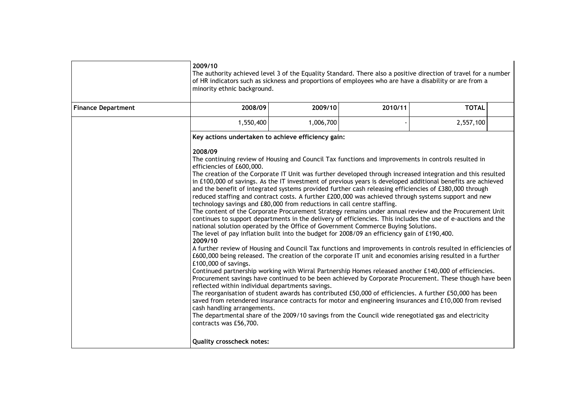|                           | 2009/10<br>The authority achieved level 3 of the Equality Standard. There also a positive direction of travel for a number<br>of HR indicators such as sickness and proportions of employees who are have a disability or are from a<br>minority ethnic background.                                                                                                                                                                                                                                                                                                                                                                                                                                                                                                                                                                                                                                                                                                                                                                                                                                                                                                                                                                                                                                                                                                                                                                                                                                                                                                                                                                                                                                                                                                                                                                                                                                                                                                                                                                                             |           |         |              |
|---------------------------|-----------------------------------------------------------------------------------------------------------------------------------------------------------------------------------------------------------------------------------------------------------------------------------------------------------------------------------------------------------------------------------------------------------------------------------------------------------------------------------------------------------------------------------------------------------------------------------------------------------------------------------------------------------------------------------------------------------------------------------------------------------------------------------------------------------------------------------------------------------------------------------------------------------------------------------------------------------------------------------------------------------------------------------------------------------------------------------------------------------------------------------------------------------------------------------------------------------------------------------------------------------------------------------------------------------------------------------------------------------------------------------------------------------------------------------------------------------------------------------------------------------------------------------------------------------------------------------------------------------------------------------------------------------------------------------------------------------------------------------------------------------------------------------------------------------------------------------------------------------------------------------------------------------------------------------------------------------------------------------------------------------------------------------------------------------------|-----------|---------|--------------|
| <b>Finance Department</b> | 2008/09                                                                                                                                                                                                                                                                                                                                                                                                                                                                                                                                                                                                                                                                                                                                                                                                                                                                                                                                                                                                                                                                                                                                                                                                                                                                                                                                                                                                                                                                                                                                                                                                                                                                                                                                                                                                                                                                                                                                                                                                                                                         | 2009/10   | 2010/11 | <b>TOTAL</b> |
|                           | 1,550,400                                                                                                                                                                                                                                                                                                                                                                                                                                                                                                                                                                                                                                                                                                                                                                                                                                                                                                                                                                                                                                                                                                                                                                                                                                                                                                                                                                                                                                                                                                                                                                                                                                                                                                                                                                                                                                                                                                                                                                                                                                                       | 1,006,700 |         | 2,557,100    |
|                           | Key actions undertaken to achieve efficiency gain:                                                                                                                                                                                                                                                                                                                                                                                                                                                                                                                                                                                                                                                                                                                                                                                                                                                                                                                                                                                                                                                                                                                                                                                                                                                                                                                                                                                                                                                                                                                                                                                                                                                                                                                                                                                                                                                                                                                                                                                                              |           |         |              |
|                           | 2008/09<br>The continuing review of Housing and Council Tax functions and improvements in controls resulted in<br>efficiencies of £600,000.<br>The creation of the Corporate IT Unit was further developed through increased integration and this resulted<br>in £100,000 of savings. As the IT investment of previous years is developed additional benefits are achieved<br>and the benefit of integrated systems provided further cash releasing efficiencies of £380,000 through<br>reduced staffing and contract costs. A further £200,000 was achieved through systems support and new<br>technology savings and £80,000 from reductions in call centre staffing.<br>The content of the Corporate Procurement Strategy remains under annual review and the Procurement Unit<br>continues to support departments in the delivery of efficiencies. This includes the use of e-auctions and the<br>national solution operated by the Office of Government Commerce Buying Solutions.<br>The level of pay inflation built into the budget for 2008/09 an efficiency gain of £190,400.<br>2009/10<br>A further review of Housing and Council Tax functions and improvements in controls resulted in efficiencies of<br>£600,000 being released. The creation of the corporate IT unit and economies arising resulted in a further<br>£100,000 of savings.<br>Continued partnership working with Wirral Partnership Homes released another £140,000 of efficiencies.<br>Procurement savings have continued to be been achieved by Corporate Procurement. These though have been<br>reflected within individual departments savings.<br>The reorganisation of student awards has contributed £50,000 of efficiencies. A further £50,000 has been<br>saved from retendered insurance contracts for motor and engineering insurances and £10,000 from revised<br>cash handling arrangements.<br>The departmental share of the 2009/10 savings from the Council wide renegotiated gas and electricity<br>contracts was £56,700.<br><b>Quality crosscheck notes:</b> |           |         |              |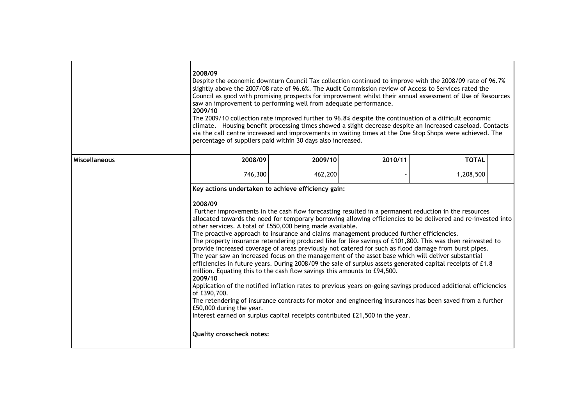|                      | 2008/09<br>Despite the economic downturn Council Tax collection continued to improve with the 2008/09 rate of 96.7%<br>slightly above the 2007/08 rate of 96.6%. The Audit Commission review of Access to Services rated the<br>Council as good with promising prospects for improvement whilst their annual assessment of Use of Resources<br>saw an improvement to performing well from adequate performance.<br>2009/10<br>The 2009/10 collection rate improved further to 96.8% despite the continuation of a difficult economic<br>climate. Housing benefit processing times showed a slight decrease despite an increased caseload. Contacts<br>via the call centre increased and improvements in waiting times at the One Stop Shops were achieved. The<br>percentage of suppliers paid within 30 days also increased.                                                                                                                                                                                                                                                                                                                                                                                                                                                                                                                                                     |         |         |              |  |
|----------------------|-----------------------------------------------------------------------------------------------------------------------------------------------------------------------------------------------------------------------------------------------------------------------------------------------------------------------------------------------------------------------------------------------------------------------------------------------------------------------------------------------------------------------------------------------------------------------------------------------------------------------------------------------------------------------------------------------------------------------------------------------------------------------------------------------------------------------------------------------------------------------------------------------------------------------------------------------------------------------------------------------------------------------------------------------------------------------------------------------------------------------------------------------------------------------------------------------------------------------------------------------------------------------------------------------------------------------------------------------------------------------------------|---------|---------|--------------|--|
| <b>Miscellaneous</b> | 2008/09                                                                                                                                                                                                                                                                                                                                                                                                                                                                                                                                                                                                                                                                                                                                                                                                                                                                                                                                                                                                                                                                                                                                                                                                                                                                                                                                                                           | 2009/10 | 2010/11 | <b>TOTAL</b> |  |
|                      | 746,300                                                                                                                                                                                                                                                                                                                                                                                                                                                                                                                                                                                                                                                                                                                                                                                                                                                                                                                                                                                                                                                                                                                                                                                                                                                                                                                                                                           | 462,200 |         | 1,208,500    |  |
|                      | Key actions undertaken to achieve efficiency gain:<br>2008/09<br>Further improvements in the cash flow forecasting resulted in a permanent reduction in the resources<br>allocated towards the need for temporary borrowing allowing efficiencies to be delivered and re-invested into<br>other services. A total of £550,000 being made available.<br>The proactive approach to insurance and claims management produced further efficiencies.<br>The property insurance retendering produced like for like savings of £101,800. This was then reinvested to<br>provide increased coverage of areas previously not catered for such as flood damage from burst pipes.<br>The year saw an increased focus on the management of the asset base which will deliver substantial<br>efficiencies in future years. During 2008/09 the sale of surplus assets generated capital receipts of £1.8<br>million. Equating this to the cash flow savings this amounts to £94,500.<br>2009/10<br>Application of the notified inflation rates to previous years on-going savings produced additional efficiencies<br>of £390,700.<br>The retendering of insurance contracts for motor and engineering insurances has been saved from a further<br>£50,000 during the year.<br>Interest earned on surplus capital receipts contributed £21,500 in the year.<br><b>Quality crosscheck notes:</b> |         |         |              |  |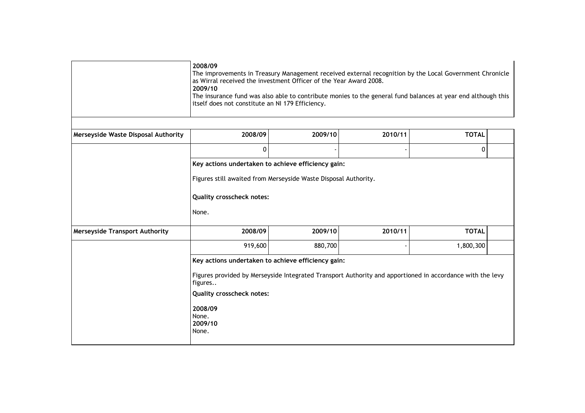|                                       | 2008/09<br>The improvements in Treasury Management received external recognition by the Local Government Chronicle<br>as Wirral received the investment Officer of the Year Award 2008.<br>2009/10<br>The insurance fund was also able to contribute monies to the general fund balances at year end although this<br>itself does not constitute an NI 179 Efficiency. |         |         |              |  |
|---------------------------------------|------------------------------------------------------------------------------------------------------------------------------------------------------------------------------------------------------------------------------------------------------------------------------------------------------------------------------------------------------------------------|---------|---------|--------------|--|
| Merseyside Waste Disposal Authority   | 2008/09                                                                                                                                                                                                                                                                                                                                                                | 2009/10 | 2010/11 | <b>TOTAL</b> |  |
|                                       | $\pmb{0}$                                                                                                                                                                                                                                                                                                                                                              |         |         | 0            |  |
|                                       | Figures still awaited from Merseyside Waste Disposal Authority.<br>Quality crosscheck notes:<br>None.                                                                                                                                                                                                                                                                  |         |         |              |  |
| <b>Merseyside Transport Authority</b> | 2008/09                                                                                                                                                                                                                                                                                                                                                                | 2009/10 | 2010/11 | <b>TOTAL</b> |  |
|                                       | 919,600                                                                                                                                                                                                                                                                                                                                                                | 880,700 |         | 1,800,300    |  |
|                                       | Key actions undertaken to achieve efficiency gain:<br>Figures provided by Merseyside Integrated Transport Authority and apportioned in accordance with the levy<br>figures<br><b>Quality crosscheck notes:</b><br>2008/09<br>None.<br>2009/10<br>None.                                                                                                                 |         |         |              |  |